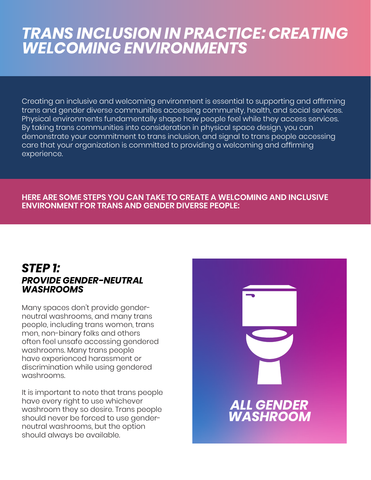# *TRANS INCLUSION IN PRACTICE: CREATING WELCOMING ENVIRONMENTS*

Creating an inclusive and welcoming environment is essential to supporting and affirming trans and gender diverse communities accessing community, health, and social services. Physical environments fundamentally shape how people feel while they access services. By taking trans communities into consideration in physical space design, you can demonstrate your commitment to trans inclusion, and signal to trans people accessing care that your organization is committed to providing a welcoming and affirming experience.

#### **HERE ARE SOME STEPS YOU CAN TAKE TO CREATE A WELCOMING AND INCLUSIVE ENVIRONMENT FOR TRANS AND GENDER DIVERSE PEOPLE:**

#### *STEP 1: PROVIDE GENDER-NEUTRAL WASHROOMS*

Many spaces don't provide genderneutral washrooms, and many trans people, including trans women, trans men, non-binary folks and others often feel unsafe accessing gendered washrooms. Many trans people have experienced harassment or discrimination while using gendered washrooms.

It is important to note that trans people have every right to use whichever washroom they so desire. Trans people should never be forced to use genderneutral washrooms, but the option should always be available.